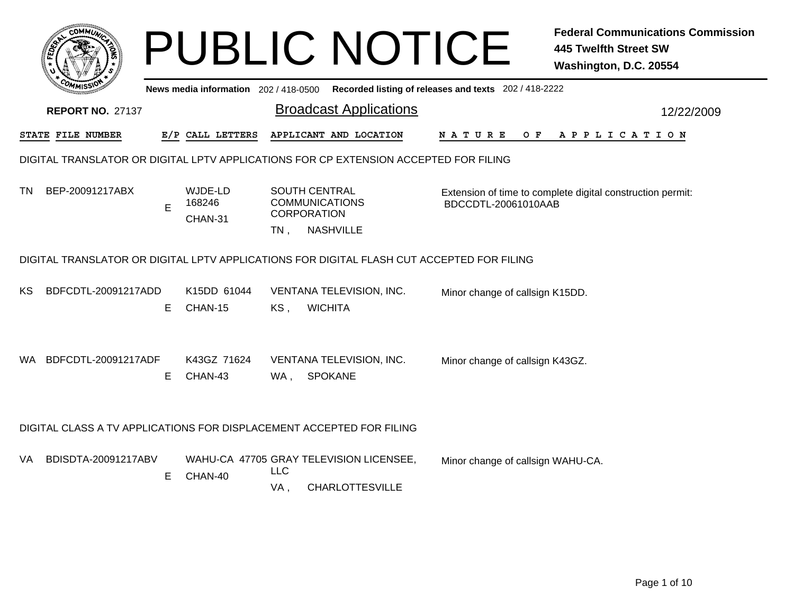|                                       |                                                                                           |   |                                       |                                                                     | <b>PUBLIC NOTICE</b>                                              |                    |                                                                                   | <b>Federal Communications Commission</b><br><b>445 Twelfth Street SW</b><br>Washington, D.C. 20554 |  |
|---------------------------------------|-------------------------------------------------------------------------------------------|---|---------------------------------------|---------------------------------------------------------------------|-------------------------------------------------------------------|--------------------|-----------------------------------------------------------------------------------|----------------------------------------------------------------------------------------------------|--|
|                                       |                                                                                           |   | News media information $202/418-0500$ |                                                                     |                                                                   |                    | Recorded listing of releases and texts 202 / 418-2222                             |                                                                                                    |  |
|                                       | <b>REPORT NO. 27137</b>                                                                   |   |                                       |                                                                     | <b>Broadcast Applications</b>                                     |                    | 12/22/2009                                                                        |                                                                                                    |  |
| STATE FILE NUMBER<br>E/P CALL LETTERS |                                                                                           |   |                                       | APPLICANT AND LOCATION                                              |                                                                   | N A T U R E<br>O F | A P P L I C A T I O N                                                             |                                                                                                    |  |
|                                       | DIGITAL TRANSLATOR OR DIGITAL LPTV APPLICATIONS FOR CP EXTENSION ACCEPTED FOR FILING      |   |                                       |                                                                     |                                                                   |                    |                                                                                   |                                                                                                    |  |
| TN                                    | BEP-20091217ABX                                                                           | E | WJDE-LD<br>168246<br>CHAN-31          | <b>SOUTH CENTRAL</b><br><b>COMMUNICATIONS</b><br><b>CORPORATION</b> |                                                                   |                    | Extension of time to complete digital construction permit:<br>BDCCDTL-20061010AAB |                                                                                                    |  |
|                                       |                                                                                           |   |                                       | $TN$ ,                                                              | <b>NASHVILLE</b>                                                  |                    |                                                                                   |                                                                                                    |  |
|                                       | DIGITAL TRANSLATOR OR DIGITAL LPTV APPLICATIONS FOR DIGITAL FLASH CUT ACCEPTED FOR FILING |   |                                       |                                                                     |                                                                   |                    |                                                                                   |                                                                                                    |  |
| KS                                    | BDFCDTL-20091217ADD                                                                       | Е | K <sub>15</sub> DD 61044<br>CHAN-15   | KS,                                                                 | VENTANA TELEVISION, INC.<br><b>WICHITA</b>                        |                    | Minor change of callsign K15DD.                                                   |                                                                                                    |  |
| WA.                                   | BDFCDTL-20091217ADF                                                                       | Е | K43GZ 71624<br>CHAN-43                | WA,                                                                 | VENTANA TELEVISION, INC.<br><b>SPOKANE</b>                        |                    | Minor change of callsign K43GZ.                                                   |                                                                                                    |  |
|                                       | DIGITAL CLASS A TV APPLICATIONS FOR DISPLACEMENT ACCEPTED FOR FILING                      |   |                                       |                                                                     |                                                                   |                    |                                                                                   |                                                                                                    |  |
| VA.                                   | BDISDTA-20091217ABV                                                                       | Е | CHAN-40                               | <b>LLC</b><br>VA,                                                   | WAHU-CA 47705 GRAY TELEVISION LICENSEE,<br><b>CHARLOTTESVILLE</b> |                    | Minor change of callsign WAHU-CA.                                                 |                                                                                                    |  |
|                                       |                                                                                           |   |                                       |                                                                     |                                                                   |                    |                                                                                   |                                                                                                    |  |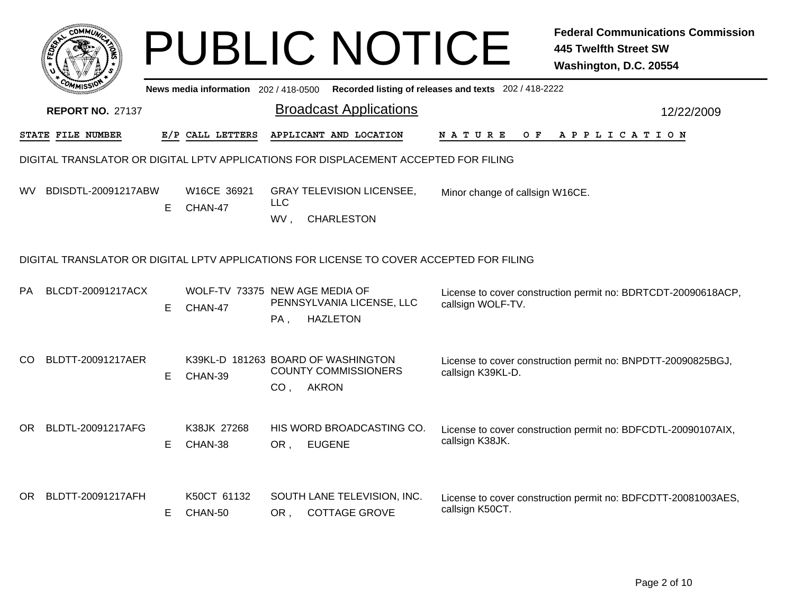|     | :OMM1                                                                                |    |                                           |                   | <b>PUBLIC NOTICE</b>                                                                     |                                                       | <b>Federal Communications Commission</b><br>445 Twelfth Street SW<br>Washington, D.C. 20554 |  |  |  |  |
|-----|--------------------------------------------------------------------------------------|----|-------------------------------------------|-------------------|------------------------------------------------------------------------------------------|-------------------------------------------------------|---------------------------------------------------------------------------------------------|--|--|--|--|
|     |                                                                                      |    | News media information 202/418-0500       |                   |                                                                                          | Recorded listing of releases and texts 202 / 418-2222 |                                                                                             |  |  |  |  |
|     | <b>REPORT NO. 27137</b>                                                              |    |                                           |                   | <b>Broadcast Applications</b>                                                            |                                                       | 12/22/2009                                                                                  |  |  |  |  |
|     | STATE FILE NUMBER                                                                    |    | E/P CALL LETTERS                          |                   | APPLICANT AND LOCATION                                                                   | N A T U R E<br>O F                                    | A P P L I C A T I O N                                                                       |  |  |  |  |
|     | DIGITAL TRANSLATOR OR DIGITAL LPTV APPLICATIONS FOR DISPLACEMENT ACCEPTED FOR FILING |    |                                           |                   |                                                                                          |                                                       |                                                                                             |  |  |  |  |
| WV  | BDISDTL-20091217ABW                                                                  | Е  | W16CE 36921<br>CHAN-47                    | <b>LLC</b><br>WV, | <b>GRAY TELEVISION LICENSEE,</b><br><b>CHARLESTON</b>                                    | Minor change of callsign W16CE.                       |                                                                                             |  |  |  |  |
|     |                                                                                      |    |                                           |                   | DIGITAL TRANSLATOR OR DIGITAL LPTV APPLICATIONS FOR LICENSE TO COVER ACCEPTED FOR FILING |                                                       |                                                                                             |  |  |  |  |
| PA  | BLCDT-20091217ACX                                                                    | Е  | WOLF-TV 73375 NEW AGE MEDIA OF<br>CHAN-47 | PA,               | PENNSYLVANIA LICENSE, LLC<br><b>HAZLETON</b>                                             | callsign WOLF-TV.                                     | License to cover construction permit no: BDRTCDT-20090618ACP,                               |  |  |  |  |
| CO  | BLDTT-20091217AER                                                                    | Е  | CHAN-39                                   |                   | K39KL-D 181263 BOARD OF WASHINGTON<br><b>COUNTY COMMISSIONERS</b><br>CO, AKRON           | callsign K39KL-D.                                     | License to cover construction permit no: BNPDTT-20090825BGJ,                                |  |  |  |  |
| OR. | BLDTL-20091217AFG                                                                    | Е  | K38JK 27268<br>CHAN-38                    | OR,               | HIS WORD BROADCASTING CO.<br><b>EUGENE</b>                                               | callsign K38JK.                                       | License to cover construction permit no: BDFCDTL-20090107AIX,                               |  |  |  |  |
|     | OR BLDTT-20091217AFH                                                                 | E. | K50CT 61132<br>CHAN-50                    | OR.               | SOUTH LANE TELEVISION, INC.<br><b>COTTAGE GROVE</b>                                      | callsign K50CT.                                       | License to cover construction permit no: BDFCDTT-20081003AES,                               |  |  |  |  |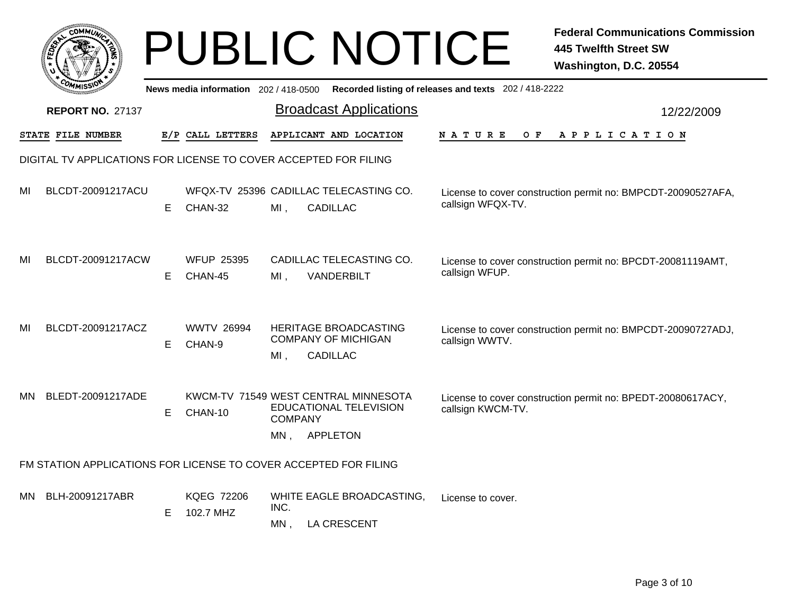|     | <b>COMMUT</b>                                                    |   |                                       |                        | <b>PUBLIC NOTICE</b>                                                              |                                                       | <b>Federal Communications Commission</b><br><b>445 Twelfth Street SW</b><br>Washington, D.C. 20554 |
|-----|------------------------------------------------------------------|---|---------------------------------------|------------------------|-----------------------------------------------------------------------------------|-------------------------------------------------------|----------------------------------------------------------------------------------------------------|
|     |                                                                  |   | News media information 202 / 418-0500 |                        |                                                                                   | Recorded listing of releases and texts 202 / 418-2222 |                                                                                                    |
|     | <b>REPORT NO. 27137</b>                                          |   |                                       |                        | <b>Broadcast Applications</b>                                                     |                                                       | 12/22/2009                                                                                         |
|     | STATE FILE NUMBER                                                |   | E/P CALL LETTERS                      |                        | APPLICANT AND LOCATION                                                            | O F<br>N A T U R E                                    | A P P L I C A T I O N                                                                              |
|     | DIGITAL TV APPLICATIONS FOR LICENSE TO COVER ACCEPTED FOR FILING |   |                                       |                        |                                                                                   |                                                       |                                                                                                    |
| MI  | BLCDT-20091217ACU                                                | E | CHAN-32                               | $MI$ ,                 | WFQX-TV 25396 CADILLAC TELECASTING CO.<br><b>CADILLAC</b>                         | callsign WFQX-TV.                                     | License to cover construction permit no: BMPCDT-20090527AFA,                                       |
| MI  | BLCDT-20091217ACW                                                | E | <b>WFUP 25395</b><br>CHAN-45          | MI.                    | CADILLAC TELECASTING CO.<br>VANDERBILT                                            | callsign WFUP.                                        | License to cover construction permit no: BPCDT-20081119AMT,                                        |
| MI  | BLCDT-20091217ACZ                                                | E | <b>WWTV 26994</b><br>CHAN-9           | $MI$ ,                 | HERITAGE BROADCASTING<br><b>COMPANY OF MICHIGAN</b><br><b>CADILLAC</b>            | callsign WWTV.                                        | License to cover construction permit no: BMPCDT-20090727ADJ,                                       |
| MN. | BLEDT-20091217ADE                                                | E | CHAN-10                               | <b>COMPANY</b><br>MN , | KWCM-TV 71549 WEST CENTRAL MINNESOTA<br>EDUCATIONAL TELEVISION<br><b>APPLETON</b> | callsign KWCM-TV.                                     | License to cover construction permit no: BPEDT-20080617ACY,                                        |
|     | FM STATION APPLICATIONS FOR LICENSE TO COVER ACCEPTED FOR FILING |   |                                       |                        |                                                                                   |                                                       |                                                                                                    |
| MN. | BLH-20091217ABR                                                  | E | <b>KQEG 72206</b><br>102.7 MHZ        | INC.<br>MN,            | WHITE EAGLE BROADCASTING,<br><b>LA CRESCENT</b>                                   | License to cover.                                     |                                                                                                    |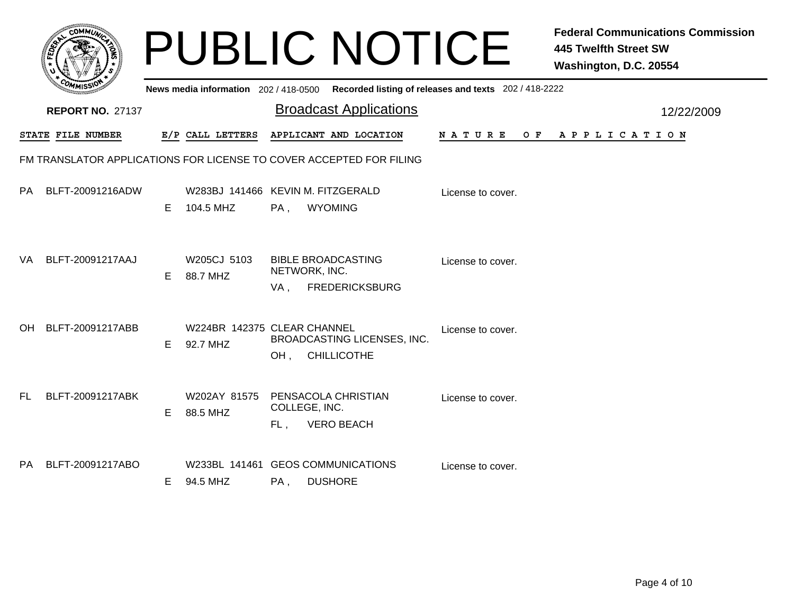|     |                         |    |                                                |                      | <b>PUBLIC NOTICE</b>                                                                    |                   | <b>Federal Communications Commission</b><br><b>445 Twelfth Street SW</b><br>Washington, D.C. 20554 |
|-----|-------------------------|----|------------------------------------------------|----------------------|-----------------------------------------------------------------------------------------|-------------------|----------------------------------------------------------------------------------------------------|
|     |                         |    |                                                |                      | News media information 202/418-0500 Recorded listing of releases and texts 202/418-2222 |                   |                                                                                                    |
|     | <b>REPORT NO. 27137</b> |    |                                                |                      | <b>Broadcast Applications</b>                                                           |                   | 12/22/2009                                                                                         |
|     | STATE FILE NUMBER       |    | E/P CALL LETTERS                               |                      | APPLICANT AND LOCATION                                                                  | N A T U R E       | OF APPLICATION                                                                                     |
|     |                         |    |                                                |                      | FM TRANSLATOR APPLICATIONS FOR LICENSE TO COVER ACCEPTED FOR FILING                     |                   |                                                                                                    |
| PA  | BLFT-20091216ADW        | E. | W283BJ 141466 KEVIN M. FITZGERALD<br>104.5 MHZ | $PA$ .               | <b>WYOMING</b>                                                                          | License to cover. |                                                                                                    |
| VA  | BLFT-20091217AAJ        | E. | W205CJ 5103<br>88.7 MHZ                        | NETWORK, INC.<br>VA, | <b>BIBLE BROADCASTING</b><br><b>FREDERICKSBURG</b>                                      | License to cover. |                                                                                                    |
| OH  | BLFT-20091217ABB        | E. | W224BR 142375 CLEAR CHANNEL<br>92.7 MHZ        | OH,                  | BROADCASTING LICENSES, INC.<br><b>CHILLICOTHE</b>                                       | License to cover. |                                                                                                    |
| FL. | BLFT-20091217ABK        | E  | W202AY 81575<br>88.5 MHZ                       | COLLEGE, INC.<br>FL. | PENSACOLA CHRISTIAN<br><b>VERO BEACH</b>                                                | License to cover. |                                                                                                    |
| PA  | BLFT-20091217ABO        | E. | 94.5 MHZ                                       | PA,                  | W233BL 141461 GEOS COMMUNICATIONS<br><b>DUSHORE</b>                                     | License to cover. |                                                                                                    |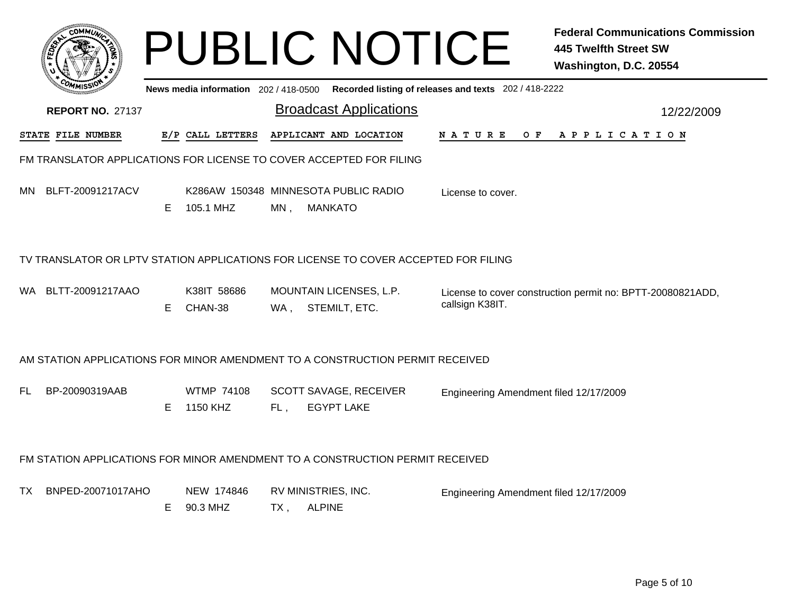|     |                                                                                     |    |                                                   |                             | <b>PUBLIC NOTICE</b>                               |                                                       | <b>Federal Communications Commission</b><br><b>445 Twelfth Street SW</b><br>Washington, D.C. 20554 |
|-----|-------------------------------------------------------------------------------------|----|---------------------------------------------------|-----------------------------|----------------------------------------------------|-------------------------------------------------------|----------------------------------------------------------------------------------------------------|
|     |                                                                                     |    | News media information 202 / 418-0500             |                             |                                                    | Recorded listing of releases and texts 202 / 418-2222 |                                                                                                    |
|     | <b>REPORT NO. 27137</b>                                                             |    |                                                   |                             | <b>Broadcast Applications</b>                      |                                                       | 12/22/2009                                                                                         |
|     | STATE FILE NUMBER                                                                   |    | E/P CALL LETTERS                                  |                             | APPLICANT AND LOCATION                             | N A T U R E<br>O F                                    | A P P L I C A T I O N                                                                              |
|     | FM TRANSLATOR APPLICATIONS FOR LICENSE TO COVER ACCEPTED FOR FILING                 |    |                                                   |                             |                                                    |                                                       |                                                                                                    |
| MN. | BLFT-20091217ACV                                                                    | Е  | K286AW 150348 MINNESOTA PUBLIC RADIO<br>105.1 MHZ | $MN$ ,                      | <b>MANKATO</b>                                     | License to cover.                                     |                                                                                                    |
|     | TV TRANSLATOR OR LPTV STATION APPLICATIONS FOR LICENSE TO COVER ACCEPTED FOR FILING |    |                                                   |                             |                                                    |                                                       |                                                                                                    |
|     | WA BLTT-20091217AAO                                                                 | E. | K38IT 58686<br>CHAN-38                            | WA,                         | MOUNTAIN LICENSES, L.P.<br>STEMILT, ETC.           | callsign K38IT.                                       | License to cover construction permit no: BPTT-20080821ADD,                                         |
|     | AM STATION APPLICATIONS FOR MINOR AMENDMENT TO A CONSTRUCTION PERMIT RECEIVED       |    |                                                   |                             |                                                    |                                                       |                                                                                                    |
| FL  | BP-20090319AAB                                                                      | E  | <b>WTMP 74108</b><br>1150 KHZ                     | FL,                         | <b>SCOTT SAVAGE, RECEIVER</b><br><b>EGYPT LAKE</b> | Engineering Amendment filed 12/17/2009                |                                                                                                    |
|     | FM STATION APPLICATIONS FOR MINOR AMENDMENT TO A CONSTRUCTION PERMIT RECEIVED       |    |                                                   |                             |                                                    |                                                       |                                                                                                    |
| TX. | BNPED-20071017AHO                                                                   | Е  | NEW 174846<br>90.3 MHZ                            | RV MINISTRIES, INC.<br>TX . | <b>ALPINE</b>                                      | Engineering Amendment filed 12/17/2009                |                                                                                                    |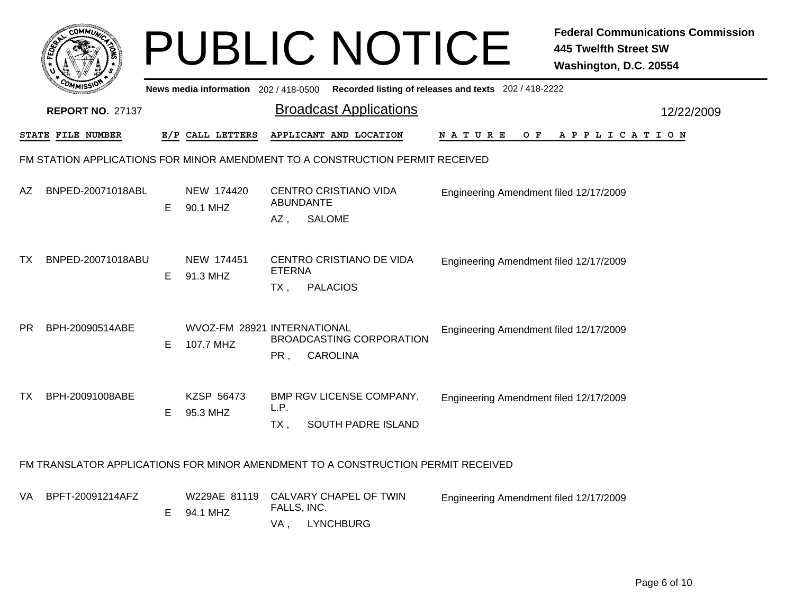|    | <b>COMMUT</b>                                                                 |    |                                          |                         | <b>PUBLIC NOTICE</b>                                                             |                                                       | <b>Federal Communications Commission</b><br><b>445 Twelfth Street SW</b> |  |  |  |  |
|----|-------------------------------------------------------------------------------|----|------------------------------------------|-------------------------|----------------------------------------------------------------------------------|-------------------------------------------------------|--------------------------------------------------------------------------|--|--|--|--|
|    |                                                                               |    |                                          |                         |                                                                                  |                                                       | Washington, D.C. 20554                                                   |  |  |  |  |
|    |                                                                               |    | News media information 202/418-0500      |                         |                                                                                  | Recorded listing of releases and texts 202 / 418-2222 |                                                                          |  |  |  |  |
|    | <b>REPORT NO. 27137</b>                                                       |    |                                          |                         | <b>Broadcast Applications</b>                                                    |                                                       | 12/22/2009                                                               |  |  |  |  |
|    | <b>STATE FILE NUMBER</b>                                                      |    | E/P CALL LETTERS                         |                         | APPLICANT AND LOCATION                                                           | N A T U R E<br>O F                                    | A P P L I C A T I O N                                                    |  |  |  |  |
|    | FM STATION APPLICATIONS FOR MINOR AMENDMENT TO A CONSTRUCTION PERMIT RECEIVED |    |                                          |                         |                                                                                  |                                                       |                                                                          |  |  |  |  |
| AZ | BNPED-20071018ABL                                                             | E. | NEW 174420<br>90.1 MHZ                   | AZ,                     | CENTRO CRISTIANO VIDA<br>ABUNDANTE<br><b>SALOME</b>                              | Engineering Amendment filed 12/17/2009                |                                                                          |  |  |  |  |
| TX | BNPED-20071018ABU                                                             | E. | NEW 174451<br>91.3 MHZ                   | <b>ETERNA</b><br>$TX$ , | CENTRO CRISTIANO DE VIDA<br><b>PALACIOS</b>                                      | Engineering Amendment filed 12/17/2009                |                                                                          |  |  |  |  |
| PR | BPH-20090514ABE                                                               | E. | WVOZ-FM 28921 INTERNATIONAL<br>107.7 MHZ | PR,                     | <b>BROADCASTING CORPORATION</b><br><b>CAROLINA</b>                               | Engineering Amendment filed 12/17/2009                |                                                                          |  |  |  |  |
| ТX | BPH-20091008ABE                                                               | E  | KZSP 56473<br>95.3 MHZ                   | L.P.<br>$TX$ ,          | BMP RGV LICENSE COMPANY,<br>SOUTH PADRE ISLAND                                   | Engineering Amendment filed 12/17/2009                |                                                                          |  |  |  |  |
|    |                                                                               |    |                                          |                         | FM TRANSLATOR APPLICATIONS FOR MINOR AMENDMENT TO A CONSTRUCTION PERMIT RECEIVED |                                                       |                                                                          |  |  |  |  |
| VA | BPFT-20091214AFZ                                                              | E. | W229AE 81119<br>94.1 MHZ                 | FALLS, INC.<br>VA,      | CALVARY CHAPEL OF TWIN<br><b>LYNCHBURG</b>                                       | Engineering Amendment filed 12/17/2009                |                                                                          |  |  |  |  |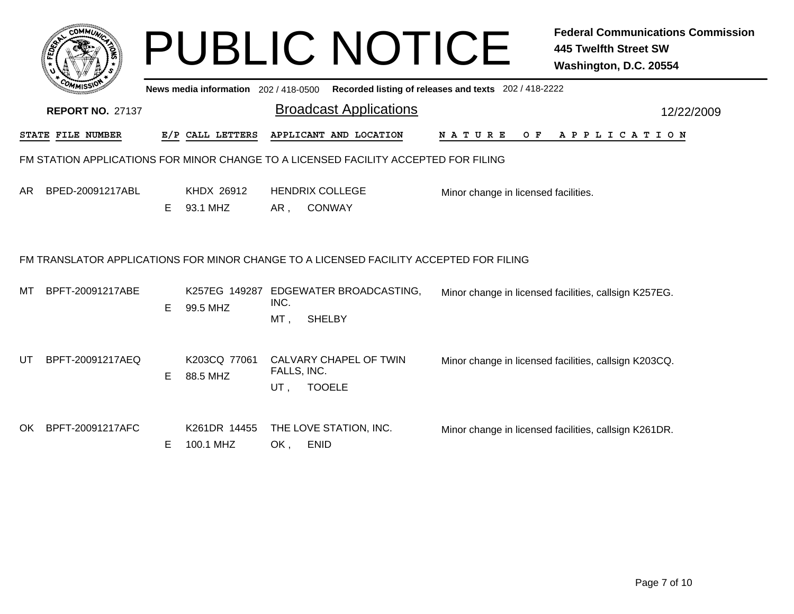|     |                                                                                        |    | News media information 202/418-0500 | <b>PUBLIC NOTICE</b>                                          | Recorded listing of releases and texts 202 / 418-2222 |     | <b>Federal Communications Commission</b><br><b>445 Twelfth Street SW</b><br>Washington, D.C. 20554 |  |
|-----|----------------------------------------------------------------------------------------|----|-------------------------------------|---------------------------------------------------------------|-------------------------------------------------------|-----|----------------------------------------------------------------------------------------------------|--|
|     | <b>REPORT NO. 27137</b>                                                                |    |                                     | <b>Broadcast Applications</b>                                 |                                                       |     | 12/22/2009                                                                                         |  |
|     | <b>STATE FILE NUMBER</b>                                                               |    | E/P CALL LETTERS                    | APPLICANT AND LOCATION                                        | <b>NATURE</b>                                         | O F | A P P L I C A T I O N                                                                              |  |
|     | FM STATION APPLICATIONS FOR MINOR CHANGE TO A LICENSED FACILITY ACCEPTED FOR FILING    |    |                                     |                                                               |                                                       |     |                                                                                                    |  |
| AR. | BPED-20091217ABL                                                                       | E. | KHDX 26912<br>93.1 MHZ              | <b>HENDRIX COLLEGE</b><br>AR,<br><b>CONWAY</b>                | Minor change in licensed facilities.                  |     |                                                                                                    |  |
|     | FM TRANSLATOR APPLICATIONS FOR MINOR CHANGE TO A LICENSED FACILITY ACCEPTED FOR FILING |    |                                     |                                                               |                                                       |     |                                                                                                    |  |
| MТ  | BPFT-20091217ABE                                                                       | E  | K257EG 149287<br>99.5 MHZ           | EDGEWATER BROADCASTING,<br>INC.<br>MT,<br><b>SHELBY</b>       |                                                       |     | Minor change in licensed facilities, callsign K257EG.                                              |  |
| UT  | BPFT-20091217AEQ                                                                       | E. | K203CQ 77061<br>88.5 MHZ            | CALVARY CHAPEL OF TWIN<br>FALLS, INC.<br>UT,<br><b>TOOELE</b> |                                                       |     | Minor change in licensed facilities, callsign K203CQ.                                              |  |
| OK. | BPFT-20091217AFC                                                                       | E  | K261DR 14455<br>100.1 MHZ           | THE LOVE STATION, INC.<br>OK,<br><b>ENID</b>                  |                                                       |     | Minor change in licensed facilities, callsign K261DR.                                              |  |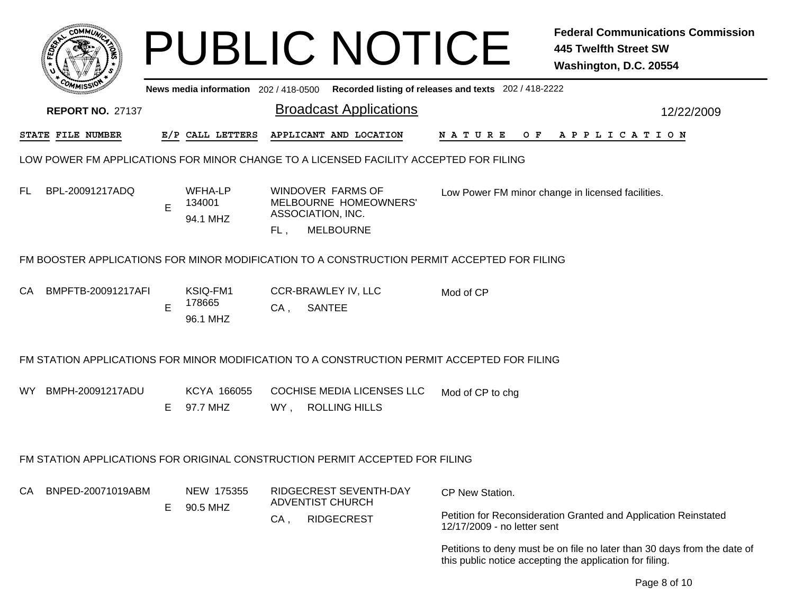|     |                         |    |                                     |        | <b>PUBLIC NOTICE</b>                                                                        |                                                       | <b>Federal Communications Commission</b><br><b>445 Twelfth Street SW</b><br>Washington, D.C. 20554 |
|-----|-------------------------|----|-------------------------------------|--------|---------------------------------------------------------------------------------------------|-------------------------------------------------------|----------------------------------------------------------------------------------------------------|
|     |                         |    | News media information 202/418-0500 |        |                                                                                             | Recorded listing of releases and texts 202 / 418-2222 |                                                                                                    |
|     | <b>REPORT NO. 27137</b> |    |                                     |        | <b>Broadcast Applications</b>                                                               |                                                       | 12/22/2009                                                                                         |
|     | STATE FILE NUMBER       |    | E/P CALL LETTERS                    |        | APPLICANT AND LOCATION                                                                      | O F<br><b>NATURE</b>                                  | APPLICATION                                                                                        |
|     |                         |    |                                     |        | LOW POWER FM APPLICATIONS FOR MINOR CHANGE TO A LICENSED FACILITY ACCEPTED FOR FILING       |                                                       |                                                                                                    |
| FL. | BPL-20091217ADQ         | E  | WFHA-LP<br>134001<br>94.1 MHZ       | FL,    | WINDOVER FARMS OF<br>MELBOURNE HOMEOWNERS'<br>ASSOCIATION, INC.<br><b>MELBOURNE</b>         |                                                       | Low Power FM minor change in licensed facilities.                                                  |
|     |                         |    |                                     |        | FM BOOSTER APPLICATIONS FOR MINOR MODIFICATION TO A CONSTRUCTION PERMIT ACCEPTED FOR FILING |                                                       |                                                                                                    |
| CA. | BMPFTB-20091217AFI      | E  | KSIQ-FM1<br>178665<br>96.1 MHZ      | $CA$ , | <b>CCR-BRAWLEY IV, LLC</b><br><b>SANTEE</b>                                                 | Mod of CP                                             |                                                                                                    |
|     |                         |    |                                     |        | FM STATION APPLICATIONS FOR MINOR MODIFICATION TO A CONSTRUCTION PERMIT ACCEPTED FOR FILING |                                                       |                                                                                                    |
| WY. | BMPH-20091217ADU        | Е  | KCYA 166055<br>97.7 MHZ             | WY,    | <b>COCHISE MEDIA LICENSES LLC</b><br><b>ROLLING HILLS</b>                                   | Mod of CP to chg                                      |                                                                                                    |
|     |                         |    |                                     |        | FM STATION APPLICATIONS FOR ORIGINAL CONSTRUCTION PERMIT ACCEPTED FOR FILING                |                                                       |                                                                                                    |
| CA  | BNPED-20071019ABM       | E. | NEW 175355<br>90.5 MHZ              |        | RIDGECREST SEVENTH-DAY<br><b>ADVENTIST CHURCH</b>                                           | CP New Station.                                       |                                                                                                    |
|     |                         |    |                                     | CA,    | <b>RIDGECREST</b>                                                                           | 12/17/2009 - no letter sent                           | Petition for Reconsideration Granted and Application Reinstated                                    |
|     |                         |    |                                     |        |                                                                                             |                                                       | Petitions to deny must be on file no later than 30 days from the date of                           |

this public notice accepting the application for filing.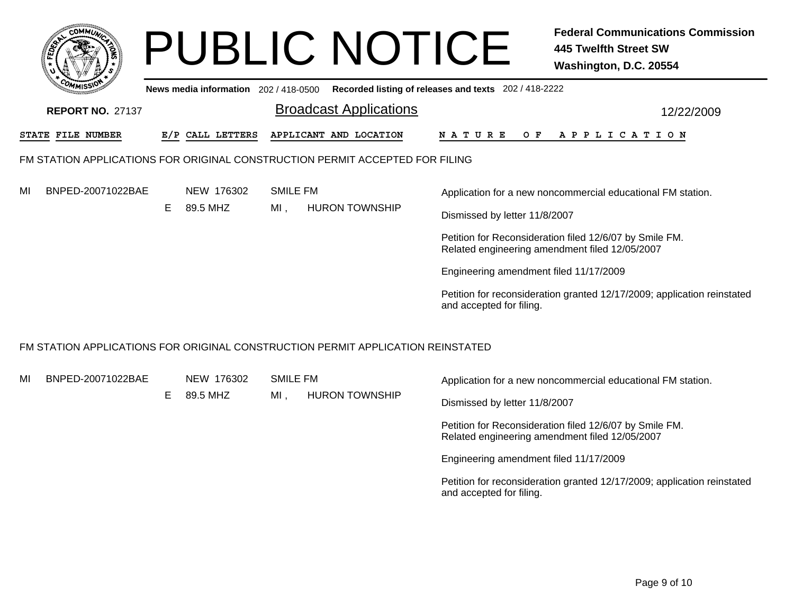|                                                                                 |    |                                       |                        | <b>PUBLIC NOTICE</b>          |                                                                                                     | <b>Federal Communications Commission</b><br>445 Twelfth Street SW<br>Washington, D.C. 20554                                                                                                                                                         |
|---------------------------------------------------------------------------------|----|---------------------------------------|------------------------|-------------------------------|-----------------------------------------------------------------------------------------------------|-----------------------------------------------------------------------------------------------------------------------------------------------------------------------------------------------------------------------------------------------------|
| <b>REPORT NO. 27137</b>                                                         |    | News media information 202 / 418-0500 |                        | <b>Broadcast Applications</b> | Recorded listing of releases and texts 202 / 418-2222                                               | 12/22/2009                                                                                                                                                                                                                                          |
| STATE FILE NUMBER                                                               |    | E/P CALL LETTERS                      |                        | APPLICANT AND LOCATION        | O F<br>N A T U R E                                                                                  | A P P L I C A T I O N                                                                                                                                                                                                                               |
| FM STATION APPLICATIONS FOR ORIGINAL CONSTRUCTION PERMIT ACCEPTED FOR FILING    |    |                                       |                        |                               |                                                                                                     |                                                                                                                                                                                                                                                     |
| BNPED-20071022BAE<br>MI                                                         | E. | NEW 176302<br>89.5 MHZ                | <b>SMILE FM</b><br>MI. | <b>HURON TOWNSHIP</b>         | Dismissed by letter 11/8/2007<br>Engineering amendment filed 11/17/2009<br>and accepted for filing. | Application for a new noncommercial educational FM station.<br>Petition for Reconsideration filed 12/6/07 by Smile FM.<br>Related engineering amendment filed 12/05/2007<br>Petition for reconsideration granted 12/17/2009; application reinstated |
| FM STATION APPLICATIONS FOR ORIGINAL CONSTRUCTION PERMIT APPLICATION REINSTATED |    |                                       |                        |                               |                                                                                                     |                                                                                                                                                                                                                                                     |

| MI | BNPED-20071022BAE |    | NEW 176302 | SMILE FM |                                        | Application for a new noncommercial educational FM station.                                               |  |
|----|-------------------|----|------------|----------|----------------------------------------|-----------------------------------------------------------------------------------------------------------|--|
|    |                   | Е. | 89.5 MHZ   | MI       | <b>HURON TOWNSHIP</b>                  | Dismissed by letter 11/8/2007                                                                             |  |
|    |                   |    |            |          |                                        | Petition for Reconsideration filed 12/6/07 by Smile FM.<br>Related engineering amendment filed 12/05/2007 |  |
|    |                   |    |            |          | Engineering amendment filed 11/17/2009 |                                                                                                           |  |
|    |                   |    |            |          |                                        | Petition for reconsideration granted 12/17/2009; application reinstated<br>and accepted for filing.       |  |